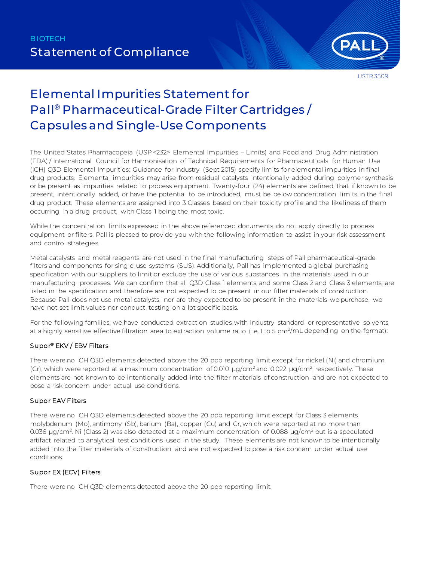

USTR 3509

# Elemental Impurities Statement for Pall® Pharmaceutical-Grade Filter Cartridges / Capsules and Single-Use Components

The United States Pharmacopeia (USP <232> Elemental Impurities – Limits) and Food and Drug Administration (FDA) / International Council for Harmonisation of Technical Requirements for Pharmaceuticals for Human Use (ICH) Q3D Elemental Impurities: Guidance for Industry (Sept 2015) specify limits for elemental impurities in final drug products. Elemental impurities may arise from residual catalysts intentionally added during polymer synthesis or be present as impurities related to process equipment. Twenty-four (24) elements are defined, that if known to be present, intentionally added, or have the potential to be introduced, must be below concentration limits in the final drug product. These elements are assigned into 3 Classes based on their toxicity profile and the likeliness of them occurring in a drug product, with Class 1 being the most toxic.

While the concentration limits expressed in the above referenced documents do not apply directly to process equipment or filters, Pall is pleased to provide you with the following information to assist in your risk assessment and control strategies.

Metal catalysts and metal reagents are not used in the final manufacturing steps of Pall pharmaceutical-grade filters and components for single-use systems (SUS). Additionally, Pall has implemented a global purchasing specification with our suppliers to limit or exclude the use of various substances in the materials used in our manufacturing processes. We can confirm that all Q3D Class 1 elements, and some Class 2 and Class 3 elements, are listed in the specification and therefore are not expected to be present in our filter materials of construction. Because Pall does not use metal catalysts, nor are they expected to be present in the materials we purchase, we have not set limit values nor conduct testing on a lot specific basis.

For the following families, we have conducted extraction studies with industry standard or representative solvents at a highly sensitive effective filtration area to extraction volume ratio (i.e.1 to 5 cm<sup>2</sup>/mL depending on the format):

#### Supor® EKV / EBV Filters

There were no ICH Q3D elements detected above the 20 ppb reporting limit except for nickel (Ni) and chromium (Cr), which were reported at a maximum concentration of 0.010  $\mu$ g/cm<sup>2</sup> and 0.022  $\mu$ g/cm<sup>2</sup>, respectively. These elements are not known to be intentionally added into the filter materials of construction and are not expected to pose a risk concern under actual use conditions.

#### Supor EAV Filters

There were no ICH Q3D elements detected above the 20 ppb reporting limit except for Class 3 elements molybdenum (Mo), antimony (Sb), barium (Ba), copper (Cu) and Cr, which were reported at no more than 0.036 µg/cm<sup>2</sup>. Ni (Class 2) was also detected at a maximum concentration of 0.088 µg/cm<sup>2</sup> but is a speculated artifact related to analytical test conditions used in the study. These elements are not known to be intentionally added into the filter materials of construction and are not expected to pose a risk concern under actual use conditions.

#### Supor EX (ECV) Filters

There were no ICH Q3D elements detected above the 20 ppb reporting limit.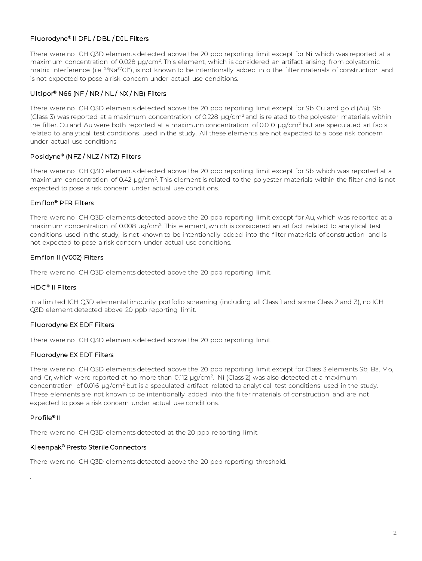## Fluorodyne® II DFL / DBL / DJL Filters

There were no ICH Q3D elements detected above the 20 ppb reporting limit except for Ni, which was reported at a maximum concentration of 0.028 µg/cm<sup>2</sup>. This element, which is considered an artifact arising from polyatomic matrix interference (i.e. <sup>23</sup>Na<sup>37</sup>Cl<sup>+</sup>), is not known to be intentionally added into the filter materials of construction and is not expected to pose a risk concern under actual use conditions.

### Ultipor® N66 (NF / NR / NL / NX / NB) Filters

There were no ICH Q3D elements detected above the 20 ppb reporting limit except for Sb, Cu and gold (Au). Sb (Class 3) was reported at a maximum concentration of 0.228 µg/cm2 and is related to the polyester materials within the filter. Cu and Au were both reported at a maximum concentration of 0.010  $\mu q/cm^2$  but are speculated artifacts related to analytical test conditions used in the study. All these elements are not expected to a pose risk concern under actual use conditions

## Posidyne® (NFZ / NLZ / NTZ) Filters

There were no ICH Q3D elements detected above the 20 ppb reporting limit except for Sb, which was reported at a maximum concentration of 0.42 μg/cm2. This element is related to the polyester materials within the filter and is not expected to pose a risk concern under actual use conditions.

## Emflon® PFR Filters

There were no ICH Q3D elements detected above the 20 ppb reporting limit except for Au, which was reported at a maximum concentration of 0.008 µg/cm<sup>2</sup>. This element, which is considered an artifact related to analytical test conditions used in the study, is not known to be intentionally added into the filter materials of construction and is not expected to pose a risk concern under actual use conditions.

#### Emflon II (V002) Filters

There were no ICH Q3D elements detected above the 20 ppb reporting limit.

#### HDC<sup>®</sup> II Filters

In a limited ICH Q3D elemental impurity portfolio screening (including all Class 1 and some Class 2 and 3), no ICH Q3D element detected above 20 ppb reporting limit.

#### Fluorodyne EX EDF Filters

There were no ICH Q3D elements detected above the 20 ppb reporting limit.

#### Fluorodyne EX EDT Filters

There were no ICH Q3D elements detected above the 20 ppb reporting limit except for Class 3 elements Sb, Ba, Mo, and Cr, which were reported at no more than 0.112 µg/cm<sup>2</sup>. Ni (Class 2) was also detected at a maximum concentration of 0.016 µg/cm<sup>2</sup> but is a speculated artifact related to analytical test conditions used in the study. These elements are not known to be intentionally added into the filter materials of construction and are not expected to pose a risk concern under actual use conditions.

#### Profile® II

.

There were no ICH Q3D elements detected at the 20 ppb reporting limit.

#### Kleenpak® Presto Sterile Connectors

There were no ICH Q3D elements detected above the 20 ppb reporting threshold.